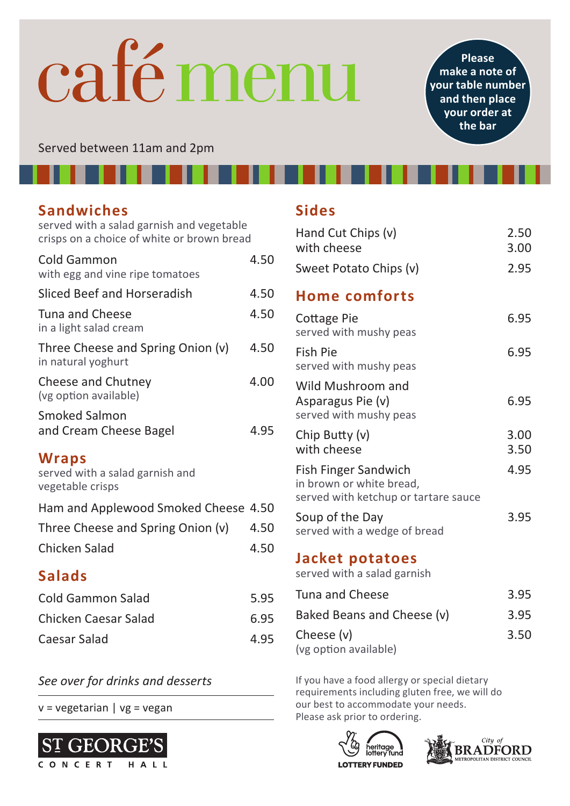## café menu

**Please make a note of your table number and then place your order at the bar**

Served between 11am and 2pm

### **Sandwiches**

served with a salad garnish and vegetable crisps on a choice of white or brown bread

| Cold Gammon<br>with egg and vine ripe tomatoes               | 4.50 |
|--------------------------------------------------------------|------|
| Sliced Beef and Horseradish                                  | 4.50 |
| Tuna and Cheese<br>in a light salad cream                    | 4.50 |
| Three Cheese and Spring Onion (v)<br>in natural yoghurt      | 4.50 |
| Cheese and Chutney<br>(vg option available)                  | 4.00 |
| Smoked Salmon<br>and Cream Cheese Bagel                      | 4.95 |
| Wraps<br>served with a salad garnish and<br>vegetable crisps |      |
| Ham and Applewood Smoked Cheese 4.50                         |      |
| Three Cheese and Spring Onion (v)                            | 4.50 |
| Chicken Salad                                                | 4.50 |

### **Salads**

| Cold Gammon Salad    | 5.95 |
|----------------------|------|
| Chicken Caesar Salad | 6.95 |
| Caesar Salad         | 4.95 |

v = vegetarian | vg = vegan



### **Sides**

| Hand Cut Chips (v)<br>with cheese                                                        | 2.50<br>3.00 |
|------------------------------------------------------------------------------------------|--------------|
| Sweet Potato Chips (v)                                                                   | 2.95         |
| <b>Home comforts</b>                                                                     |              |
| Cottage Pie<br>served with mushy peas                                                    | 6.95         |
| Fish Pie<br>served with mushy peas                                                       | 6.95         |
| Wild Mushroom and<br>Asparagus Pie (v)<br>served with mushy peas                         | 6.95         |
| Chip Butty (v)<br>with cheese                                                            | 3.00<br>3.50 |
| Fish Finger Sandwich<br>in brown or white bread,<br>served with ketchup or tartare sauce | 4.95         |
| Soup of the Day<br>served with a wedge of bread                                          | 3.95         |
| Jacket potatoes<br>served with a salad garnish                                           |              |
|                                                                                          |              |

| Tuna and Cheese            | 3.95 |
|----------------------------|------|
| Baked Beans and Cheese (v) | 3.95 |
| Cheese (v)                 | 3.50 |
| (vg option available)      |      |

**See over for drinks and desserts** If you have a food allergy or special dietary requirements including gluten free, we will do our best to accommodate your needs. Please ask prior to ordering.